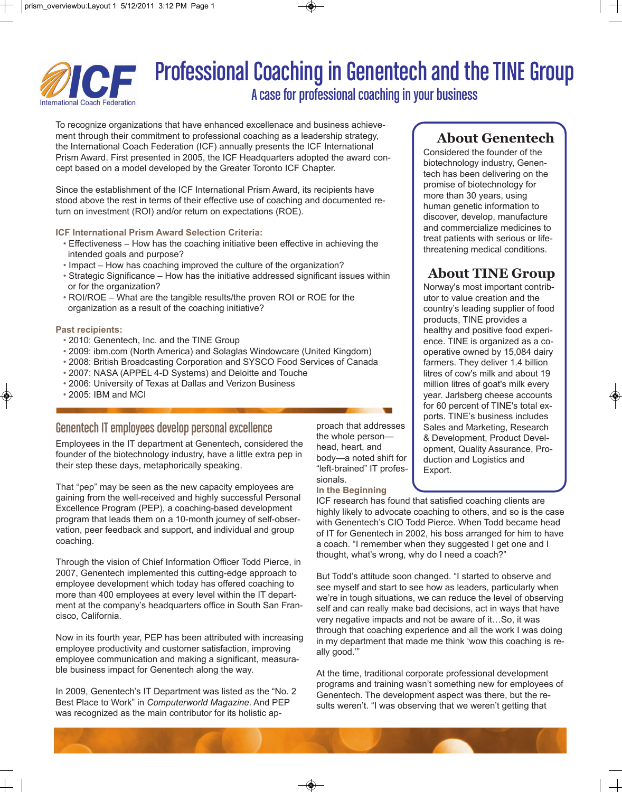

# Professional Coaching in Genentech and the TINE Group

A case for professional coaching in your business

To recognize organizations that have enhanced excellenace and business achievement through their commitment to professional coaching as a leadership strategy, the International Coach Federation (ICF) annually presents the ICF International Prism Award. First presented in 2005, the ICF Headquarters adopted the award concept based on a model developed by the Greater Toronto ICF Chapter.

Since the establishment of the ICF International Prism Award, its recipients have stood above the rest in terms of their effective use of coaching and documented return on investment (ROI) and/or return on expectations (ROE).

#### **ICF International Prism Award Selection Criteria:**

- Effectiveness How has the coaching initiative been effective in achieving the intended goals and purpose?
- Impact How has coaching improved the culture of the organization?
- Strategic Significance How has the initiative addressed significant issues within or for the organization?
- ROI/ROE What are the tangible results/the proven ROI or ROE for the organization as a result of the coaching initiative?

#### **Past recipients:**

- 2010: Genentech, Inc. and the TINE Group
- 2009: ibm.com (North America) and Solaglas Windowcare (United Kingdom)
- 2008: British Broadcasting Corporation and SYSCO Food Services of Canada
- 2007: NASA (APPEL 4-D Systems) and Deloitte and Touche
- 2006: University of Texas at Dallas and Verizon Business
- 2005: IBM and MCI

### Genentech IT employees develop personal excellence

Employees in the IT department at Genentech, considered the founder of the biotechnology industry, have a little extra pep in their step these days, metaphorically speaking.

That "pep" may be seen as the new capacity employees are gaining from the well-received and highly successful Personal Excellence Program (PEP), a coaching-based development program that leads them on a 10-month journey of self-observation, peer feedback and support, and individual and group coaching.

Through the vision of Chief Information Officer Todd Pierce, in 2007, Genentech implemented this cutting-edge approach to employee development which today has offered coaching to more than 400 employees at every level within the IT department at the company's headquarters office in South San Francisco, California.

Now in its fourth year, PEP has been attributed with increasing employee productivity and customer satisfaction, improving employee communication and making a significant, measurable business impact for Genentech along the way.

In 2009, Genentech's IT Department was listed as the "No. 2 Best Place to Work" in *Computerworld Magazine*. And PEP was recognized as the main contributor for its holistic approach that addresses the whole person head, heart, and body—a noted shift for "left-brained" IT professionals. **In the Beginning**

## **About Genentech**

Considered the founder of the biotechnology industry, Genentech has been delivering on the promise of biotechnology for more than 30 years, using human genetic information to discover, develop, manufacture and commercialize medicines to treat patients with serious or lifethreatening medical conditions.

## **About TINE Group**

Norway's most important contributor to value creation and the country's leading supplier of food products, TINE provides a healthy and positive food experience. TINE is organized as a cooperative owned by 15,084 dairy farmers. They deliver 1.4 billion litres of cow's milk and about 19 million litres of goat's milk every year. Jarlsberg cheese accounts for 60 percent of TINE's total exports. TINE's business includes Sales and Marketing, Research & Development, Product Development, Quality Assurance, Production and Logistics and Export.

ICF research has found that satisfied coaching clients are highly likely to advocate coaching to others, and so is the case with Genentech's CIO Todd Pierce. When Todd became head of IT for Genentech in 2002, his boss arranged for him to have a coach. "I remember when they suggested I get one and I thought, what's wrong, why do I need a coach?"

But Todd's attitude soon changed. "I started to observe and see myself and start to see how as leaders, particularly when we're in tough situations, we can reduce the level of observing self and can really make bad decisions, act in ways that have very negative impacts and not be aware of it…So, it was through that coaching experience and all the work I was doing in my department that made me think 'wow this coaching is really good.'"

At the time, traditional corporate professional development programs and training wasn't something new for employees of Genentech. The development aspect was there, but the results weren't. "I was observing that we weren't getting that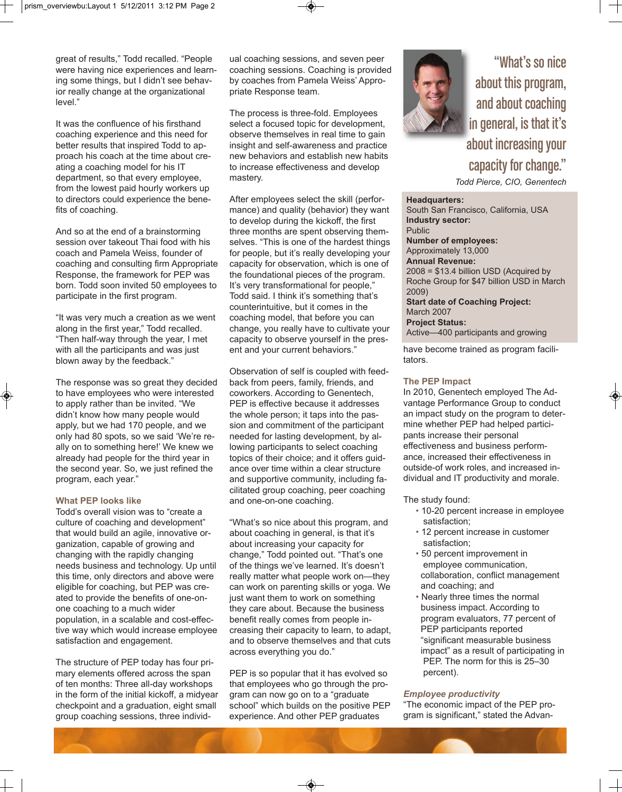great of results," Todd recalled. "People were having nice experiences and learning some things, but I didn't see behavior really change at the organizational level."

It was the confluence of his firsthand coaching experience and this need for better results that inspired Todd to approach his coach at the time about creating a coaching model for his IT department, so that every employee, from the lowest paid hourly workers up to directors could experience the benefits of coaching.

And so at the end of a brainstorming session over takeout Thai food with his coach and Pamela Weiss, founder of coaching and consulting firm Appropriate Response, the framework for PEP was born. Todd soon invited 50 employees to participate in the first program.

"It was very much a creation as we went along in the first year," Todd recalled. "Then half-way through the year, I met with all the participants and was just blown away by the feedback."

The response was so great they decided to have employees who were interested to apply rather than be invited. "We didn't know how many people would apply, but we had 170 people, and we only had 80 spots, so we said 'We're really on to something here!' We knew we already had people for the third year in the second year. So, we just refined the program, each year."

#### **What PEP looks like**

Todd's overall vision was to "create a culture of coaching and development" that would build an agile, innovative organization, capable of growing and changing with the rapidly changing needs business and technology. Up until this time, only directors and above were eligible for coaching, but PEP was created to provide the benefits of one-onone coaching to a much wider population, in a scalable and cost-effective way which would increase employee satisfaction and engagement.

The structure of PEP today has four primary elements offered across the span of ten months: Three all-day workshops in the form of the initial kickoff, a midyear checkpoint and a graduation, eight small group coaching sessions, three individual coaching sessions, and seven peer coaching sessions. Coaching is provided by coaches from Pamela Weiss' Appropriate Response team.

The process is three-fold. Employees select a focused topic for development, observe themselves in real time to gain insight and self-awareness and practice new behaviors and establish new habits to increase effectiveness and develop mastery.

After employees select the skill (performance) and quality (behavior) they want to develop during the kickoff, the first three months are spent observing themselves. "This is one of the hardest things for people, but it's really developing your capacity for observation, which is one of the foundational pieces of the program. It's very transformational for people." Todd said. I think it's something that's counterintuitive, but it comes in the coaching model, that before you can change, you really have to cultivate your capacity to observe yourself in the present and your current behaviors."

Observation of self is coupled with feedback from peers, family, friends, and coworkers. According to Genentech, PEP is effective because it addresses the whole person; it taps into the passion and commitment of the participant needed for lasting development, by allowing participants to select coaching topics of their choice; and it offers guidance over time within a clear structure and supportive community, including facilitated group coaching, peer coaching and one-on-one coaching.

"What's so nice about this program, and about coaching in general, is that it's about increasing your capacity for change," Todd pointed out. "That's one of the things we've learned. It's doesn't really matter what people work on—they can work on parenting skills or yoga. We just want them to work on something they care about. Because the business benefit really comes from people increasing their capacity to learn, to adapt, and to observe themselves and that cuts across everything you do."

PEP is so popular that it has evolved so that employees who go through the program can now go on to a "graduate school" which builds on the positive PEP experience. And other PEP graduates



"What's so nice about this program, and about coaching in general, is that it's about increasing your capacity for change." *Todd Pierce, CIO, Genentech*

**Headquarters:** 

South San Francisco, California, USA **Industry sector:** Public **Number of employees:**  Approximately 13,000 **Annual Revenue:** 2008 = \$13.4 billion USD (Acquired by Roche Group for \$47 billion USD in March 2009) **Start date of Coaching Project:** March 2007 **Project Status:** Active—400 participants and growing

have become trained as program facilitators.

#### **The PEP Impact**

In 2010, Genentech employed The Advantage Performance Group to conduct an impact study on the program to determine whether PEP had helped participants increase their personal effectiveness and business performance, increased their effectiveness in outside-of work roles, and increased individual and IT productivity and morale.

The study found:

- 10-20 percent increase in employee satisfaction;
- 12 percent increase in customer satisfaction;
- 50 percent improvement in employee communication, collaboration, conflict management and coaching; and
- Nearly three times the normal business impact. According to program evaluators, 77 percent of PEP participants reported "significant measurable business impact" as a result of participating in PEP. The norm for this is 25–30 percent).

#### *Employee productivity*

"The economic impact of the PEP program is significant," stated the Advan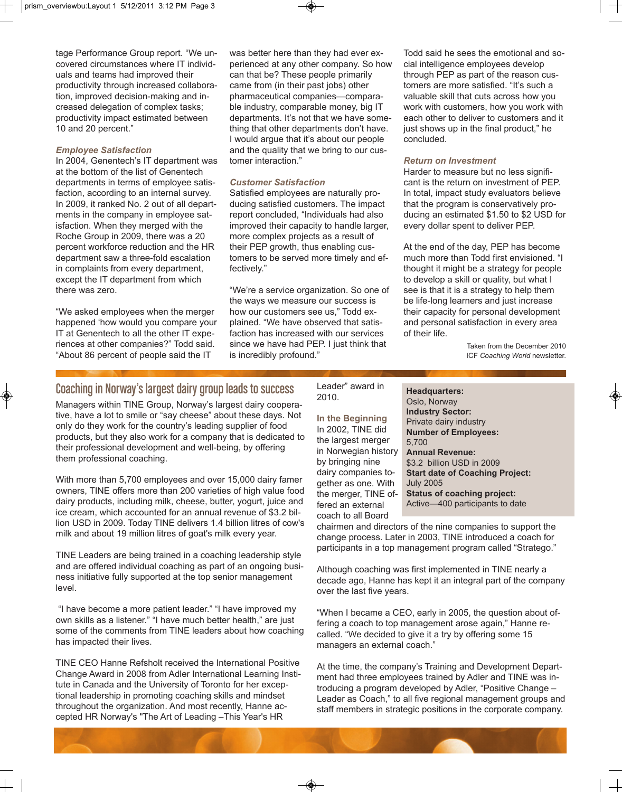tage Performance Group report. "We uncovered circumstances where IT individuals and teams had improved their productivity through increased collaboration, improved decision-making and increased delegation of complex tasks; productivity impact estimated between 10 and 20 percent."

#### *Employee Satisfaction*

In 2004, Genentech's IT department was at the bottom of the list of Genentech departments in terms of employee satisfaction, according to an internal survey. In 2009, it ranked No. 2 out of all departments in the company in employee satisfaction. When they merged with the Roche Group in 2009, there was a 20 percent workforce reduction and the HR department saw a three-fold escalation in complaints from every department, except the IT department from which there was zero.

"We asked employees when the merger happened 'how would you compare your IT at Genentech to all the other IT experiences at other companies?" Todd said. "About 86 percent of people said the IT

was better here than they had ever experienced at any other company. So how can that be? These people primarily came from (in their past jobs) other pharmaceutical companies—comparable industry, comparable money, big IT departments. It's not that we have something that other departments don't have. I would argue that it's about our people and the quality that we bring to our customer interaction."

#### *Customer Satisfaction*

Satisfied employees are naturally producing satisfied customers. The impact report concluded, "Individuals had also improved their capacity to handle larger, more complex projects as a result of their PEP growth, thus enabling customers to be served more timely and effectively."

"We're a service organization. So one of the ways we measure our success is how our customers see us," Todd explained. "We have observed that satisfaction has increased with our services since we have had PEP. I just think that is incredibly profound."

Todd said he sees the emotional and social intelligence employees develop through PEP as part of the reason customers are more satisfied. "It's such a valuable skill that cuts across how you work with customers, how you work with each other to deliver to customers and it just shows up in the final product," he concluded.

#### *Return on Investment*

Harder to measure but no less significant is the return on investment of PEP. In total, impact study evaluators believe that the program is conservatively producing an estimated \$1.50 to \$2 USD for every dollar spent to deliver PEP.

At the end of the day, PEP has become much more than Todd first envisioned. "I thought it might be a strategy for people to develop a skill or quality, but what I see is that it is a strategy to help them be life-long learners and just increase their capacity for personal development and personal satisfaction in every area of their life.

> Taken from the December 2010 ICF *Coaching World* newsletter.

## Coaching in Norway's largest dairy group leads to success

Managers within TINE Group, Norway's largest dairy cooperative, have a lot to smile or "say cheese" about these days. Not only do they work for the country's leading supplier of food products, but they also work for a company that is dedicated to their professional development and well-being, by offering them professional coaching.

With more than 5,700 employees and over 15,000 dairy famer owners, TINE offers more than 200 varieties of high value food dairy products, including milk, cheese, butter, yogurt, juice and ice cream, which accounted for an annual revenue of \$3.2 billion USD in 2009. Today TINE delivers 1.4 billion litres of cow's milk and about 19 million litres of goat's milk every year.

TINE Leaders are being trained in a coaching leadership style and are offered individual coaching as part of an ongoing business initiative fully supported at the top senior management level.

"I have become a more patient leader." "I have improved my own skills as a listener." "I have much better health," are just some of the comments from TINE leaders about how coaching has impacted their lives.

TINE CEO Hanne Refsholt received the International Positive Change Award in 2008 from Adler International Learning Institute in Canada and the University of Toronto for her exceptional leadership in promoting coaching skills and mindset throughout the organization. And most recently, Hanne accepted HR Norway's "The Art of Leading –This Year's HR

Leader" award in 2010.

**In the Beginning** In 2002, TINE did the largest merger in Norwegian history by bringing nine dairy companies together as one. With the merger, TINE offered an external coach to all Board

#### **Headquarters:**  Oslo, Norway **Industry Sector:** Private dairy industry **Number of Employees:** 5,700 **Annual Revenue:** \$3.2 billion USD in 2009 **Start date of Coaching Project:** July 2005 **Status of coaching project:** Active—400 participants to date

chairmen and directors of the nine companies to support the change process. Later in 2003, TINE introduced a coach for participants in a top management program called "Stratego."

Although coaching was first implemented in TINE nearly a decade ago, Hanne has kept it an integral part of the company over the last five years.

"When I became a CEO, early in 2005, the question about offering a coach to top management arose again," Hanne recalled. "We decided to give it a try by offering some 15 managers an external coach."

At the time, the company's Training and Development Department had three employees trained by Adler and TINE was introducing a program developed by Adler, "Positive Change – Leader as Coach," to all five regional management groups and staff members in strategic positions in the corporate company.